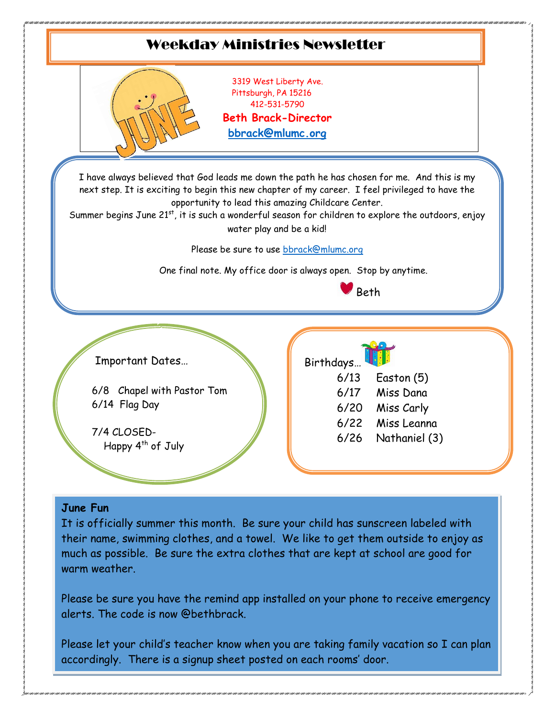

their name, swimming clothes, and a towel. We like to get them outside to enjoy as much as possible. Be sure the extra clothes that are kept at school are good for warm weather.

Please be sure you have the remind app installed on your phone to receive emergency alerts. The code is now @bethbrack.

Please let your child's teacher know when you are taking family vacation so I can plan accordingly. There is a signup sheet posted on each rooms' door.